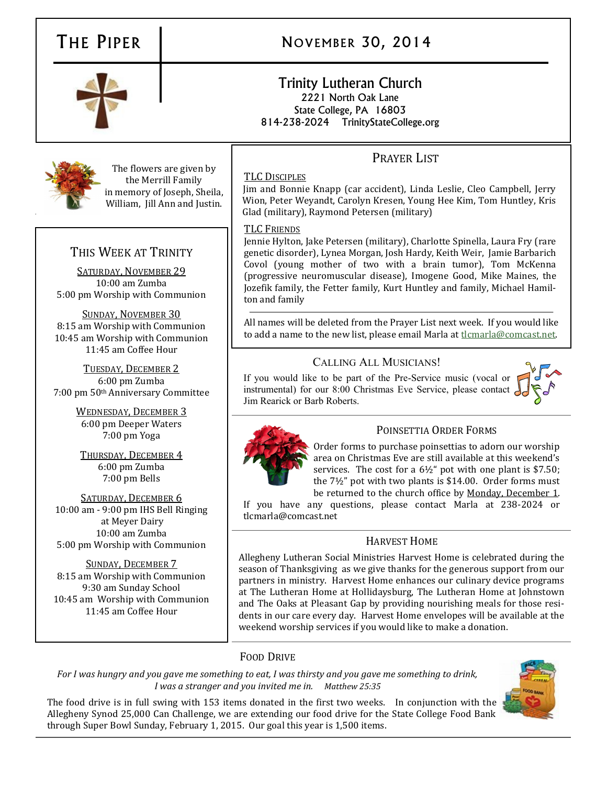# THE PIPER NOVEMBER 30, 2014

#### Trinity Lutheran Church 2221 North Oak Lane State College, PA 16803 814-238-2024 TrinityStateCollege.org

# PRAYER LIST

#### TLC DISCIPLES

Jim and Bonnie Knapp (car accident), Linda Leslie, Cleo Campbell, Jerry Wion, Peter Weyandt, Carolyn Kresen, Young Hee Kim, Tom Huntley, Kris Glad (military), Raymond Petersen (military)

#### TLC FRIENDS

Jennie Hylton, Jake Petersen (military), Charlotte Spinella, Laura Fry (rare genetic disorder), Lynea Morgan, Josh Hardy, Keith Weir, Jamie Barbarich Covol (young mother of two with a brain tumor), Tom McKenna (progressive neuromuscular disease), Imogene Good, Mike Maines, the Jozefik family, the Fetter family, Kurt Huntley and family, Michael Hamilton and family

All names will be deleted from the Prayer List next week. If you would like to add a name to the new list, please email Marla at [tlcmarla@comcast.net.](mailto:tlcmarla@comcast.net) 

### CALLING ALL MUSICIANS!

If you would like to be part of the Pre-Service music (vocal or instrumental) for our 8:00 Christmas Eve Service, please contact Jim Rearick or Barb Roberts.





POINSETTIA ORDER FORMS

Order forms to purchase poinsettias to adorn our worship area on Christmas Eve are still available at this weekend's services. The cost for a 6½" pot with one plant is \$7.50; the 7½" pot with two plants is \$14.00. Order forms must be returned to the church office by Monday, December 1.

If you have any questions, please contact Marla at 238-2024 or tlcmarla@comcast.net

### HARVEST HOME

Allegheny Lutheran Social Ministries Harvest Home is celebrated during the season of Thanksgiving as we give thanks for the generous support from our partners in ministry. Harvest Home enhances our culinary device programs at The Lutheran Home at Hollidaysburg, The Lutheran Home at Johnstown and The Oaks at Pleasant Gap by providing nourishing meals for those residents in our care every day. Harvest Home envelopes will be available at the weekend worship services if you would like to make a donation.

### FOOD DRIVE

*For I was hungry and you gave me something to eat, I was thirsty and you gave me something to drink, I was a stranger and you invited me in. Matthew 25:35*

The food drive is in full swing with 153 items donated in the first two weeks. In conjunction with the Allegheny Synod 25,000 Can Challenge, we are extending our food drive for the State College Food Bank through Super Bowl Sunday, February 1, 2015. Our goal this year is 1,500 items.



The flowers are given by the Merrill Family in memory of Joseph, Sheila, William, Jill Ann and Justin.

## THIS WEEK AT TRINITY

SATURDAY, NOVEMBER 29 10:00 am Zumba 5:00 pm Worship with Communion

SUNDAY, NOVEMBER 30 8:15 am Worship with Communion 10:45 am Worship with Communion 11:45 am Coffee Hour

TUESDAY, DECEMBER 2 6:00 pm Zumba 7:00 pm 50th Anniversary Committee

> WEDNESDAY, DECEMBER 3 6:00 pm Deeper Waters 7:00 pm Yoga

THURSDAY, DECEMBER 4 6:00 pm Zumba 7:00 pm Bells

SATURDAY, DECEMBER 6 10:00 am - 9:00 pm IHS Bell Ringing at Meyer Dairy 10:00 am Zumba 5:00 pm Worship with Communion

SUNDAY, DECEMBER 7 8:15 am Worship with Communion 9:30 am Sunday School 10:45 am Worship with Communion 11:45 am Coffee Hour